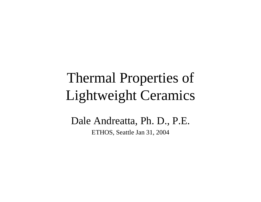# Thermal Properties of Lightweight Ceramics

Dale Andreatta, Ph. D., P.E. ETHOS, Seattle Jan 31, 2004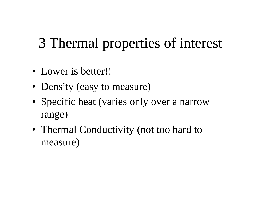# 3 Thermal properties of interest

- Lower is better!!
- Density (easy to measure)
- Specific heat (varies only over a narrow range)
- Thermal Conductivity (not too hard to measure)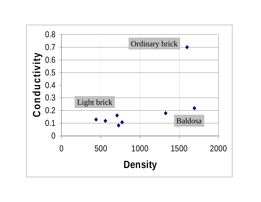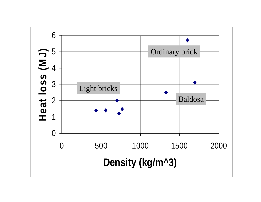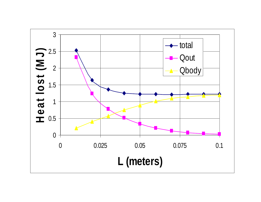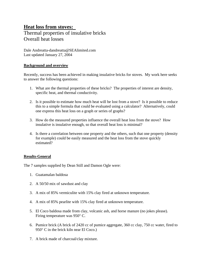# **Heat loss from stoves:**  Thermal properties of insulative bricks Overall heat losses

Dale Andreatta-dandreatta@SEAlimited.com Last updated January 27, 2004

# **Background and overview**

Recently, success has been achieved in making insulative bricks for stoves. My work here seeks to answer the following questions:

- 1. What are the thermal properties of these bricks? The properties of interest are density, specific heat, and thermal conductivity.
- 2. Is it possible to estimate how much heat will be lost from a stove? Is it possible to reduce this to a simple formula that could be evaluated using a calculator? Alternatively, could one express this heat loss on a graph or series of graphs?
- 3. How do the measured properties influence the overall heat loss from the stove? How insulative is insulative enough, so that overall heat loss is minimal?
- 4. Is there a correlation between one property and the others, such that one property (density for example) could be easily measured and the heat loss from the stove quickly estimated?

# **Results-General**

The 7 samples supplied by Dean Still and Damon Ogle were:

- 1. Guatamalan baldosa
- 2. A 50/50 mix of sawdust and clay
- 3. A mix of 85% vermiculite with 15% clay fired at unknown temperature.
- 4. A mix of 85% pearlite with 15% clay fired at unknown temperature.
- 5. El Coco baldosa made from clay, volcanic ash, and horse manure (no jokes please). Firing temperature was 950° C.
- 6. Pumice brick (A brick of 2420 cc of pumice aggregate, 360 cc clay, 750 cc water, fired to 950° C in the brick kiln near El Coco.)
- 7. A brick made of charcoal/clay mixture.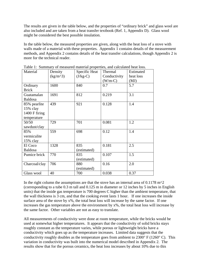The results are given in the table below, and the properties of "ordinary brick" and glass wool are also included and are taken from a heat transfer textbook (Ref. 1, Appendix D). Glass wool might be considered the best possible insulation.

In the table below, the measured properties are given, along with the heat loss of a stove with walls made of a material with these properties. Appendix 1 contains details of the measurement methods, and Appendix 2 contains details of the heat transfer calculations, though Appendix 2 is more for the technical reader.

| Material        | Density    | Specific Heat | Thermal      | Estimated |
|-----------------|------------|---------------|--------------|-----------|
|                 | $(kg/m^3)$ | $(J/kg-C)$    | Conductivity | heat loss |
|                 |            |               | $(W/m-C)$    | (MJ)      |
| Ordinary        | 1600       | 840           | 0.7          | 5.7       |
| <b>Brick</b>    |            |               |              |           |
| Guatamalan      | 1691       | 812           | 0.219        | 3.1       |
| <b>Baldosa</b>  |            |               |              |           |
| 85% pearlite    | 439        | 921           | 0.128        | 1.4       |
| 15% clay        |            |               |              |           |
| $1400$ F firing |            |               |              |           |
| temperature     |            |               |              |           |
| 50/50           | 729        | 701           | 0.081        | 1.2       |
| sawdust/clay    |            |               |              |           |
| 85%             | 559        | 698           | 0.12         | 1.4       |
| vermiculite     |            |               |              |           |
| $15\%$ clay     |            |               |              |           |
| El Coco         | 1328       | 835           | 0.181        | 2.5       |
| <b>Baldosa</b>  |            | (estimated)   |              |           |
| Pumice brick    | 770        | 835           | 0.107        | 1.5       |
|                 |            | (estimated)   |              |           |
| Charcoal/clay   | 706        | 880           | 0.16         | 2.0       |
|                 |            | (estimated)   |              |           |
| Glass wool      | 40         | 700           | 0.038        | 0.37      |

Table 1: Summary of measured material properties, and calculated heat loss.

In the right column the assumptions are that the stove has an internal area of  $0.1178$  m<sup> $\gamma$ </sup> (corresponding to a tube 0.3 m tall and 0.125 m in diameter or 12 inches by 5 inches in English units) that the inside gas temperature is 700 degrees C higher than the ambient temperature, that the wall thickness is 3 cm, and that the cooking event lasts 1 hour. If one increases the inside surface area of the stove by  $x\%$ , the total heat loss will increase by the same factor. If one increases the gas temperature above the environment by x%, the total heat loss will increase by the same factor. Other variables are not as easy to translate.

All measurements of conductivity were done at room temperature, while the bricks would be used at somewhat higher temperatures. It appears that the conductivity of solid bricks stays roughly constant as the temperature varies, while porous or lightweight bricks have a conductivity which goes up as the temperature increases. Limited data suggests that the conductivity roughly doubles as the temperature goes from ambient to  $2300^{\circ}$  F ( $1260^{\circ}$  C). This variation in conductivity was built into the numerical model described in Appendix 2. The results show that for the porous ceramics, the heat loss increases by about 10% due to this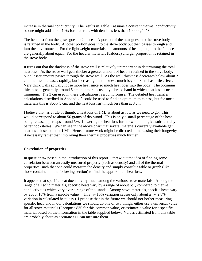increase in thermal conductivity. The results in Table 1 assume a constant thermal conductivity, so one might add about 10% for materials with densities less than 1000 kg/m^3.

The heat lost from the gases goes to 2 places. A portion of the heat goes into the stove body and is retained in the body. Another portion goes into the stove body but then passes through and into the environment. For the lightweight materials, the amounts of heat going into the 2 places are generally about equal. For the heavier materials (baldosa) a larger proportion is retained in the stove body.

It turns out that the thickness of the stove wall is relatively unimportant in determining the total heat loss. As the stove wall gets thicker a greater amount of heat is retained in the stove body, but a lesser amount passes through the stove wall. As the wall thickness decreases below about 2 cm, the loss increases rapidly, but increasing the thickness much beyond 3 cm has little effect. Very thick walls actually loose more heat since so much heat goes into the body. The optimum thickness is generally around 5 cm, but there is usually a broad band in which heat loss is near minimum. The 3 cm used in these calculations is a compromise. The detailed heat transfer calculations described in Appendix 2 could be used to find an optimum thickness, but for most materials this is about 5 cm, and the heat loss isn't much less than at 3 cm.

I believe that, as a rule of thumb, a heat loss of 1 MJ is about as low as we need to go. This would correspond to about 56 grams of dry wood. This is only a small percentage of the heat being released, perhaps around 5%. Lowering the heat loss further would not give substantially better cookstoves. We can see in the above chart that several materials currently available get heat loss close to about 1 MJ. Hence, future work might be directed at increasing their longevity if necessary rather than improving their thermal properties much further.

# **Correlation of properties**

In question #4 posed in the introduction of this report, I threw out the idea of finding some correlation between an easily measured property (such as density) and all of the thermal properties, such that one could measure the density and simply consult a table or graph (like those contained in the following section) to find the approximate heat loss.

It appears that specific heat doesn't vary much among the various stove materials. Among the range of all solid materials, specific heats vary by a range of about 5:1, compared to thermal conductivities which vary over a range of thousands. Among stove materials, specific heats vary by about 10% from a middle value. (This  $+/- 10\%$  variation causes only about a  $+/- 2.8\%$ variation in calculated heat loss.) I propose that in the future we should not bother measuring specific heat, and in our calculations we should do one of two things, either use a universal value for all stove materials (I propose 835 for this common value) or estimate a value for a specific material based on the information in the table supplied below. Values estimated from this table are probably about as accurate as I can measure them.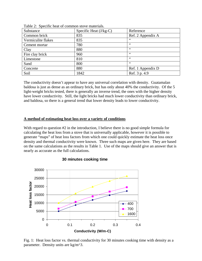| Substance          | Specific Heat $(J/kg-C)$ | Reference         |
|--------------------|--------------------------|-------------------|
| Common brick       | 835                      | Ref. 2 Appendix A |
| Vermiculite flakes | 835                      | 66                |
| Cement mortar      | 780                      | 66                |
| Clay               | 880                      | 66                |
| Fire clay brick    | 960                      | 66                |
| Limestone          | 810                      | 66                |
| Sand               | 800                      | 66                |
| Concrete           | 880                      | Ref. 1 Appendix D |
| Soil               | 1842                     | Ref. 3 p. 4.9     |

Table 2: Specific heat of common stove materials.

The conductivity doesn't appear to have any universal correlation with density. Guatamalan baldosa is just as dense as an ordinary brick, but has only about 40% the conductivity. Of the 5 light-weight bricks tested, there is generally an inverse trend, the ones with the higher density have lower conductivity. Still, the light bricks had much lower conductivity than ordinary brick, and baldosa, so there is a general trend that lower density leads to lower conductivity.

#### **A method of estimating heat loss over a variety of conditions**

With regard to question #2 in the introduction, I believe there is no good simple formula for calculating the heat loss from a stove that is universally applicable, however it is possible to generate "maps" of heat loss factors from which one could quickly estimate the heat loss once density and thermal conductivity were known. Three such maps are given here. They are based on the same calculations as the results in Table 1. Use of the maps should give an answer that is nearly as accurate as the full calculations.



# **30 minutes cooking time**

Fig. 1: Heat loss factor vs. thermal conductivity for 30 minutes cooking time with density as a parameter. Density units are kg/m^3.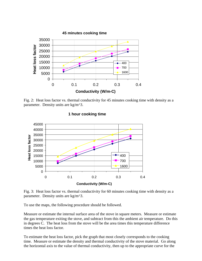

Fig. 2: Heat loss factor vs. thermal conductivity for 45 minutes cooking time with density as a parameter. Density units are kg/m^3.



#### **1 hour cooking time**

Fig. 3: Heat loss factor vs. thermal conductivity for 60 minutes cooking time with density as a parameter. Density units are kg/m^3.

To use the maps, the following procedure should be followed.

Measure or estimate the internal surface area of the stove in square meters. Measure or estimate the gas temperature exiting the stove, and subtract from this the ambient air temperature. Do this in degrees C. The heat loss from the stove will be the area times this temperature difference times the heat loss factor.

To estimate the heat loss factor, pick the graph that most closely corresponds to the cooking time. Measure or estimate the density and thermal conductivity of the stove material. Go along the horizontal axis to the value of thermal conductivity, then up to the appropriate curve for the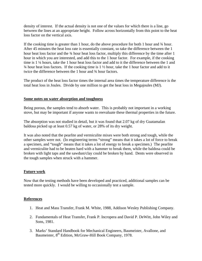density of interest. If the actual density is not one of the values for which there is a line, go between the lines at an appropriate height. Follow across horizontally from this point to the heat loss factor on the vertical axis.

If the cooking time is greater than 1 hour, do the above procedure for both 1 hour and ¾ hour. After 45 minutes the heat loss rate is essentially constant, so take the difference between the 1 hour heat loss factor and the 34 hour heat loss factor, multiply this difference by the time after 1 hour in which you are interested, and add this to the 1 hour factor. For example, if the cooking time is 1 ¼ hours, take the 1 hour heat loss factor and add to it the difference between the 1 and  $\frac{3}{4}$  hour heat loss factors. If the cooking time is 1  $\frac{1}{2}$  hour, take the 1 hour factor and add to it twice the difference between the 1 hour and ¾ hour factors.

The product of the heat loss factor times the internal area times the temperature difference is the total heat loss in Joules. Divide by one million to get the heat loss in Megajoules (MJ).

#### **Some notes on water absorption and toughness**

Being porous, the samples tend to absorb water. This is probably not important in a working stove, but may be important if anyone wants to reevaluate these thermal properties in the future.

The absorption was not studied in detail, but it was found that 2.07 kg of dry Guatamalan baldosa picked up at least 0.57 kg of water, or 28% of its dry weight.

It was also noted that the pearlite and vermiculite mixes were both strong and tough, while the other samples were not. (In engineering terms "strong" means that it takes a lot of force to break a specimen, and "tough" means that it takes a lot of energy to break a specimen.) The pearlite and vermiculite had to be beaten hard with a hammer to break them, while the baldosa could be broken with light taps and the sawdust/clay could be broken by hand. Dents were observed in the tough samples when struck with a hammer.

# **Future work**

Now that the testing methods have been developed and practiced, additional samples can be tested more quickly. I would be willing to occasionally test a sample.

#### **References**

- 1. Heat and Mass Transfer, Frank M. White, 1988, Addison Wesley Publishing Company.
- 2. Fundamentals of Heat Transfer, Frank P. Incropera and David P. DeWitt, John Wiley and Sons, 1981.
- 3. Marks' Standard Handbook for Mechanical Engineers, Baumeister, Avallone, and Baumeister, 8<sup>th</sup> Edition, McGraw-Hill Book Company, 1978.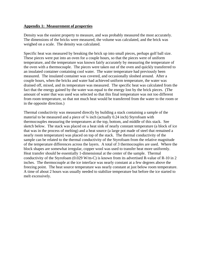#### **Appendix 1: Measurement of properties**

Density was the easiest property to measure, and was probably measured the most accurately. The dimensions of the bricks were measured, the volume was calculated, and the brick was weighed on a scale. The density was calculated.

Specific heat was measured by breaking the brick up into small pieces, perhaps golf ball size. These pieces were put into an oven for a couple hours, so that the pieces were of uniform temperature, and the temperature was known fairly accurately by measuring the temperature of the oven with a thermocouple. The pieces were taken out of the oven and quickly transferred to an insulated container containing cool water. The water temperature had previously been measured. The insulated container was covered, and occasionally sloshed around. After a couple hours, when the bricks and water had achieved uniform temperature, the water was drained off, mixed, and its temperature was measured. The specific heat was calculated from the fact that the energy gained by the water was equal to the energy lost by the brick pieces. (The amount of water that was used was selected so that this final temperature was not too different from room temperature, so that not much heat would be transferred from the water to the room or in the opposite direction.)

Thermal conductivity was measured directly by building a stack containing a sample of the material to be measured and a piece of ¼ inch (actually 0.24 inch) Styrofoam with thermocouples measuring the temperatures at the top, bottom, and middle of this stack. See sketch below. The stack was placed on a heat sink of nearly constant temperature (a block of ice that was in the process of melting) and a heat source (a large pot made of steel that remained a nearly room temperature) was placed on top of the stack. The thermal conductivity of the sample can be related to the thermal conductivity of the Styrofoam from the relative magnitude of the temperature differences across the layers. A total of 3 thermocouples are used. Where the block shapes are somewhat irregular, copper wool was used to transfer heat more uniformly. Heat transfer should be essentially 1-dimensional at the center of the sample. Thermal conductivity of the Styrofoam (0.029 W/m-C) is known from its advertised R-value of R-10 in 2 inches. The thermocouple at the ice interface was nearly constant at a few degrees above the freezing point. The heat source temperature was nearly constant at just below room temperature. A time of about 2 hours was usually needed to stabilize temperature but before the ice started to melt excessively.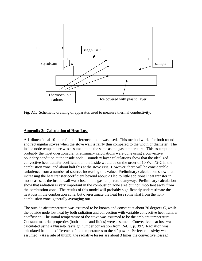

Fig. A1: Schematic drawing of apparatus used to measure thermal conductivity.

# **Appendix 2: Calculation of Heat Loss**

A 1-dimensional 10-node finite difference model was used. This method works for both round and rectangular stoves when the stove wall is fairly thin compared to the width or diameter. The inside node temperature was assumed to be the same as the gas temperature. This assumption is probably the most questionable. Preliminary calculations were done using a convective boundary condition at the inside node. Boundary layer calculations show that the idealized convective heat transfer coefficient on the inside would be on the order of 10 W/m^2-C in the combustion zone, and about half this at the stove exit. However, there will be considerable turbulence from a number of sources increasing this value. Preliminary calculations show that increasing the heat transfer coefficient beyond about 20 led to little additional heat transfer in most cases, as the inside wall was close to the gas temperature anyway. Preliminary calculations show that radiation is very important in the combustion zone area but not important away from the combustion zone. The results of this model will probably significantly underestimate the heat loss in the combustion zone, but overestimate the heat loss somewhat from the noncombustion zone, generally averaging out.

The outside air temperature was assumed to be known and constant at about 20 degrees C, while the outside node lost heat by both radiation and convection with variable convective heat transfer coefficient. The initial temperature of the stove was assumed to be the ambient temperature. Constant material properties (both solids and fluids) were assumed. Convective heat loss was calculated using a Nusselt-Rayleigh number correlation from Ref. 1, p. 397. Radiation was calculated from the difference of the temperatures to the  $4<sup>th</sup>$  power. Perfect emissivity was assumed. (As a rule of thumb, the radiative losses are about 3 times the convective losses.)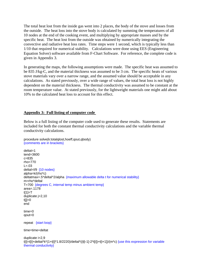The total heat lost from the inside gas went into 2 places, the body of the stove and losses from the outside. The heat loss into the stove body is calculated by summing the temperatures of all 10 nodes at the end of the cooking event, and multiplying by appropriate masses and by the specific heat. The heat lost from the outside was obtained by numerically integrating the convective and radiative heat loss rates. Time steps were 1 second, which is typically less than 1/10 that required for numerical stability. Calculations were done using EES (Engineering Equation Solver) software available from F-Chart Software. For reference, the complete code is given in Appendix 3.

In generating the maps, the following assumptions were made. The specific heat was assumed to be 835 J/kg-C, and the material thickness was assumed to be 3 cm. The specific heats of various stove materials vary over a narrow range, and the assumed value should be acceptable in any calculations. As stated previously, over a wide range of values, the total heat loss is not highly dependent on the material thickness. The thermal conductivity was assumed to be constant at the room temperature value. At stated previously, for the lightweight materials one might add about 10% to the calculated heat loss to account for this effect.

# **Appendix 3: Full listing of computer code**

Below is a full listing of the computer code used to generate these results. Statements are included for both the constant thermal conductivity calculations and the variable thermal conductivity calculations.

```
procedure solve(k:totalqlost,hoeff,qout,qbody) 
{comments are in brackets}
```

```
deltat=1 
tend=3600 
c=835 
rho=770 
L = .03deltal=l/9 {10 nodes}
alpha=k/(rho*c) 
deltatmax=.5*deltal^2/alpha {maximum allowable delta t for numerical stability}
m=rho*deltal 
T=700 {degrees C, internal temp minus ambient temp}
area=.1178 
t[1]=Tduplicate j=2,10 
t[i]=0end 
time=0 
qout=0 
repeat {start loop}
time=time+deltat 
duplicate i=2,9 
t[i]=t[i]+deltat*k*(1+t[i]*1.8/2220)/deltal*((t[i-1]-2*t[i])+t[i+1])/(m*c) {use this expression for variable 
thermal conductivity}
```